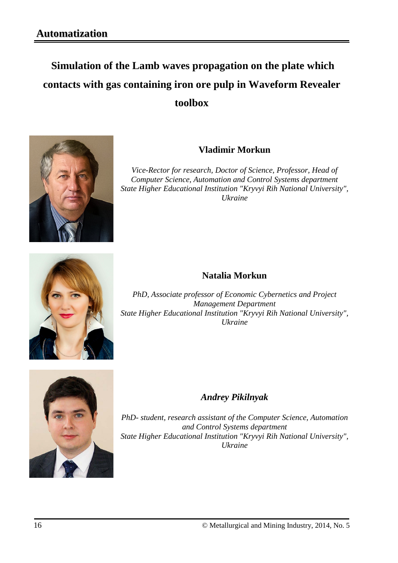# **Simulation of the Lamb waves propagation on the plate which contacts with gas containing iron ore pulp in Waveform Revealer toolbox**



## **Vladimir Morkun**

*Vice-Rector for research, Doctor of Science, Professor, Head of Computer Science, Automation and Control Systems department State Higher Educational Institution "Kryvyi Rih National University", Ukraine*



## **Natalia Morkun**

*PhD, Associate professor of Economic Cybernetics and Project Management Department State Higher Educational Institution "Kryvyi Rih National University", Ukraine*



## *Andrey Pikilnyak*

*PhD- student, research assistant of the Computer Science, Automation and Control Systems department State Higher Educational Institution "Kryvyi Rih National University", Ukraine*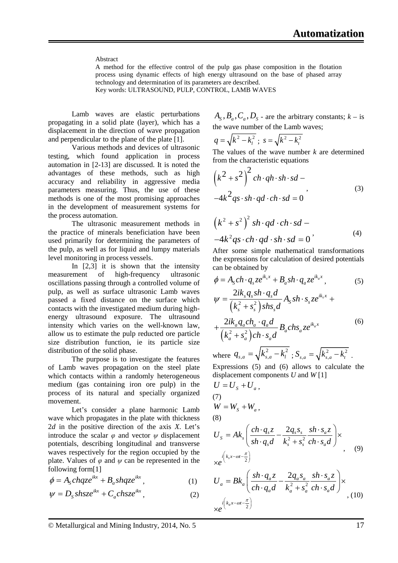#### Abstract

A method for the effective control of the pulp gas phase composition in the flotation process using dynamic effects of high energy ultrasound on the base of phased array technology and determination of its parameters are described.

Key words: ULTRASOUND, PULP, CONTROL, LAMB WAVES

Lamb waves are elastic perturbations propagating in a solid plate (layer), which has a displacement in the direction of wave propagation and perpendicular to the plane of the plate [1].

Various methods and devices of ultrasonic testing, which found application in process automation in [2-13] are discussed. It is noted the advantages of these methods, such as high accuracy and reliability in aggressive media parameters measuring. Thus, the use of these methods is one of the most promising approaches in the development of measurement systems for the process automation.

The ultrasonic measurement methods in the practice of minerals beneficiation have been used primarily for determining the parameters of the pulp, as well as for liquid and lumpy materials level monitoring in process vessels.

In [2,3] it is shown that the intensity measurement of high-frequency ultrasonic oscillations passing through a controlled volume of pulp, as well as surface ultrasonic Lamb waves passed a fixed distance on the surface which contacts with the investigated medium during highenergy ultrasound exposure. The ultrasound intensity which varies on the well-known law, allow us to estimate the pulp reducted ore particle size distribution function, ie its particle size distribution of the solid phase.

The purpose is to investigate the features of Lamb waves propagation on the steel plate which contacts within a randomly heterogeneous medium (gas containing iron ore pulp) in the process of its natural and specially organized movement.

Let's consider a plane harmonic Lamb wave which propagates in the plate with thickness 2*d* in the positive direction of the axis *X*. Let's introduce the scalar  $\varphi$  and vector  $\psi$  displacement potentials, describing longitudinal and transverse waves respectively for the region occupied by the plate. Values of  $\varphi$  and  $\psi$  can be represented in the following form[1]

$$
\phi = A_s chqze^{ikx} + B_a shqze^{ikx}, \qquad (1)
$$

$$
\psi = D_{\rm s} s h s z e^{ikx} + C_a ch s z e^{ikx}, \qquad (2)
$$

 $A_s$ ,  $B_a$ ,  $C_a$ ,  $D_s$  - are the arbitrary constants;  $k -$  is the wave number of the Lamb waves;

$$
q = \sqrt{k^2 - k_l^2} \ ; \ s = \sqrt{k^2 - k_t^2}
$$

The values of the wave number *k* are determined from the characteristic equations

$$
\left(k^2 + s^2\right)^2 ch \cdot qh \cdot sh \cdot sd -
$$
  

$$
-4k^2qs \cdot sh \cdot qd \cdot ch \cdot sd = 0
$$
 (3)

$$
(k2 + s2)2 sh \cdot qd \cdot ch \cdot sd -
$$
  
-4k<sup>2</sup>qs \cdot ch \cdot qd \cdot sh \cdot sd = 0' (4)

After some simple mathematical transformations the expressions for calculation of desired potentials can be obtained by

$$
\phi = A_s ch \cdot q_s z e^{ik_s x} + B_a sh \cdot q_a z e^{ik_a x},\tag{5}
$$

$$
\psi = \frac{2ik_s q_s sh \cdot q_s d}{\left(k_s^2 + s_s^2\right) sh s_s d} A_s sh \cdot s_s z e^{ik_s x} +
$$

$$
+ \frac{2ik_a q_a ch_a \cdot q_a d}{\left(k_a^2 + s_a^2\right) ch \cdot s_a d} B_a ch s_a z e^{ik_a x}
$$
 $(6)$ 

where  $q_{s,a} = \sqrt{k_{s,a}^2 - k_l^2}$ ;  $S_{s,a} = \sqrt{k_{s,a}^2 - k_l^2}$ .

Expressions (5) and (6) allows to calculate the displacement components *U* and *W* [1]

$$
U = U_s + U_a,
$$
  
\n(7)  
\n
$$
W = W_s + W_a,
$$
  
\n(8)  
\n
$$
U_s = Ak_s \left( \frac{ch \cdot q_s z}{sh \cdot q_s d} - \frac{2q_s s_s}{k_s^2 + s_s^2} \frac{sh \cdot s_a z}{ch \cdot s_a d} \right) \times
$$
  
\n
$$
\times e^{i \left( k_s x - \omega t - \frac{\pi}{2} \right)}
$$
  
\n
$$
U_a = B k_a \left( \frac{sh \cdot q_a z}{ch \cdot q_a d} - \frac{2q_a s_a}{k_a^2 + s_a^2} \frac{sh \cdot s_a z}{ch \cdot s_a d} \right) \times
$$
  
\n(10)

 $e^{i\left(k_a x - \omega t - \frac{\pi}{2}\right)}$ 

 $\times e^{i\left(k_a x-\omega t-\frac{\pi}{2}\right)}$ 

© Metallurgical and Mining Industry, 2014, No. 5 17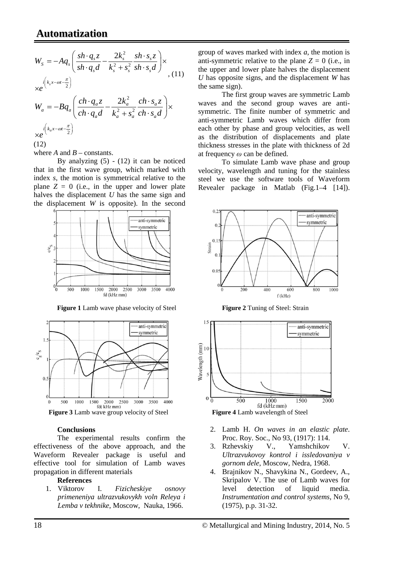$$
W_{s} = -Aq_{s} \left( \frac{sh \cdot q_{s}z}{sh \cdot q_{s}d} - \frac{2k_{s}^{2}}{k_{s}^{2} + s_{s}^{2}} \frac{sh \cdot s_{s}z}{sh \cdot s_{s}d} \right) \times
$$
  
\n
$$
\times e^{i \left( k_{s}x - \omega t - \frac{\pi}{2} \right)}
$$
  
\n
$$
W_{a} = -Bq_{a} \left( \frac{ch \cdot q_{a}z}{ch \cdot q_{a}d} - \frac{2k_{a}^{2}}{k_{a}^{2} + s_{a}^{2}} \frac{ch \cdot s_{a}z}{ch \cdot s_{a}d} \right) \times
$$
  
\n
$$
\times e^{i \left( k_{a}x - \omega t - \frac{\pi}{2} \right)}
$$
  
\n
$$
\times e^{i \left( k_{a}x - \omega t - \frac{\pi}{2} \right)}
$$
  
\n(12)

where  $A$  and  $B$  – constants.

By analyzing  $(5)$  -  $(12)$  it can be noticed that in the first wave group, which marked with index *s*, the motion is symmetrical relative to the plane  $Z = 0$  (i.e., in the upper and lower plate halves the displacement *U* has the same sign and the displacement *W* is opposite). In the second



**Figure 1** Lamb wave phase velocity of Steel **Figure 2** Tuning of Steel: Strain



#### **Conclusions**

The experimental results confirm the effectiveness of the above approach, and the Waveform Revealer package is useful and effective tool for simulation of Lamb waves propagation in different materials

#### **References**

1. Viktorov I. *Fizicheskiye osnovy primeneniya ultrazvukovykh voln Releya i Lemba v tekhnike*, Moscow, Nauka, 1966.

group of waves marked with index *a*, the motion is anti-symmetric relative to the plane  $Z = 0$  (i.e., in the upper and lower plate halves the displacement *U* has opposite signs, and the displacement *W* has the same sign).

The first group waves are symmetric Lamb waves and the second group waves are antisymmetric. The finite number of symmetric and anti-symmetric Lamb waves which differ from each other by phase and group velocities, as well as the distribution of displacements and plate thickness stresses in the plate with thickness of 2d at frequency *ω* can be defined.

To simulate Lamb wave phase and group velocity, wavelength and tuning for the stainless steel we use the software tools of Waveform Revealer package in Matlab (Fig.1–4 [14]).





- 2. Lamb H. *On waves in an elastic plate*. Proc. Roy. Soc., No 93, (1917): 114.
- 3. Rzhevskiy V., Yamshchikov V. *Ultrazvukovoy kontrol i issledovaniya v gornom dele*, Moscow, Nedra, 1968.
- 4. Brajnikov N., Shavykina N., Gordeev, A., Skripalov V. The use of Lamb waves for level detection of liquid media. *Instrumentation and control systems*, No 9, (1975), p.p. 31-32.